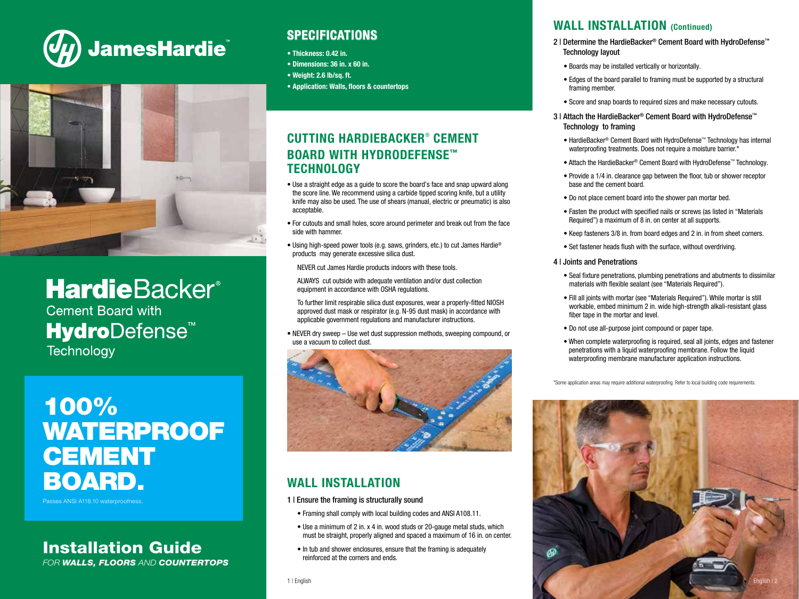



# **HardieBacker®**

**Cement Board with HydroDefense<sup>™</sup> Technology** 

# 100% WATERPROOF **CEMENT** BOARD.

Passes ANSI A118.10 waterproofne

### Installation Guide FOR WALLS, FLOORS AND COUNTERTOPS

# **SPECIFICATIONS**

- Thickness: 0.42 in.
- Dimensions: 36 in. x 60 in.
- Weight: 2.6 lb/sq. ft.
- Application: Walls, floors & countertops

# CUTTING HARDIEBACKER® CEMENT BOARD WITH HYDRODEFENSE™ **TECHNOLOGY**

- Use a straight edge as a guide to score the board's face and snap upward along the score line. We recommend using a carbide tipped scoring knife, but a utility knife may also be used. The use of shears (manual, electric or pneumatic) is also acceptable.
- For cutouts and small holes, score around perimeter and break out from the face side with hammer.
- Using high-speed power tools (e.g. saws, grinders, etc.) to cut James Hardie<sup>®</sup> products may generate excessive silica dust.

NEVER cut James Hardie products indoors with these tools.

 ALWAYS cut outside with adequate ventilation and/or dust collection equipment in accordance with OSHA regulations.

 To further limit respirable silica dust exposures, wear a properly-fitted NIOSH approved dust mask or respirator (e.g. N-95 dust mask) in accordance with applicable government regulations and manufacturer instructions.

• NEVER dry sweep – Use wet dust suppression methods, sweeping compound, or use a vacuum to collect dust.



# WALL INSTALLATION

1 | Ensure the framing is structurally sound

- Framing shall comply with local building codes and ANSI A108.11.
- Use a minimum of 2 in. x 4 in. wood studs or 20-gauge metal studs, which must be straight, properly aligned and spaced a maximum of 16 in. on center.
- In tub and shower enclosures, ensure that the framing is adequately reinforced at the corners and ends.

### WALL INSTALLATION (Continued)

- 2 | Determine the HardieBacker® Cement Board with HydroDefense™ Technology layout
	- Boards may be installed vertically or horizontally.
	- Edges of the board parallel to framing must be supported by a structural framing member.
	- Score and snap boards to required sizes and make necessary cutouts.
- 3 | Attach the HardieBacker® Cement Board with HydroDefense™ Technology to framing
	- HardieBacker® Cement Board with HydroDefense™ Technology has internal waterproofing treatments. Does not require a moisture barrier.\*
	- Attach the HardieBacker® Cement Board with HydroDefense™ Technology.
	- Provide a 1/4 in. clearance gap between the floor, tub or shower receptor base and the cement board.
	- Do not place cement board into the shower pan mortar bed.
- Fasten the product with specified nails or screws (as listed in "Materials Required") a maximum of 8 in. on center at all supports.
- Keep fasteners 3/8 in. from board edges and 2 in. in from sheet corners.
- Set fastener heads flush with the surface, without overdriving.

#### 4 | Joints and Penetrations

- Seal fixture penetrations, plumbing penetrations and abutments to dissimilar materials with flexible sealant (see "Materials Required").
- Fill all joints with mortar (see "Materials Required"). While mortar is still workable, embed minimum 2 in. wide high-strength alkali-resistant glass fiber tape in the mortar and level.
- Do not use all-purpose joint compound or paper tape.
- When complete waterproofing is required, seal all joints, edges and fastener penetrations with a liquid waterproofing membrane. Follow the liquid waterproofing membrane manufacturer application instructions.

\*Some application areas may require additional waterproofing. Refer to local building code requirements.

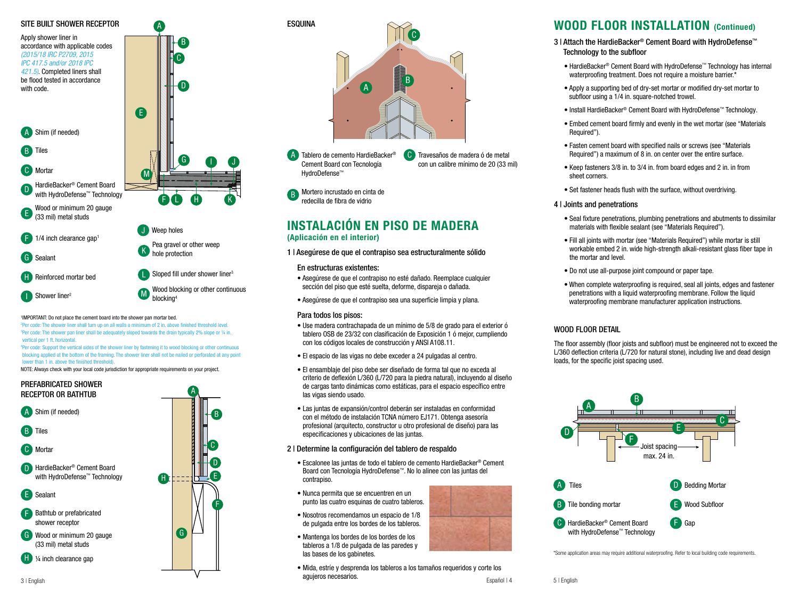

### 'IMPORTANT: Do not place the cement board into the shower pan mortar bed.

<sup>2</sup>Per code: The shower liner shall turn up on all walls a minimum of 2 in. above finished threshold level. <sup>3</sup>Per code: The shower pan liner shall be adequately sloped towards the drain typically 2% slope or ¼ in. vertical per 1 ft. horizontal.

vertical per 1 ft. nonzontal.<br>"Per code: Support the vertical sides of the shower liner by fastening it to wood blocking or other continuous blocking applied at the bottom of the framing. The shower liner shall not be nailed or perforated at any point lower than 1 in. above the finished threshold).

NOTE: Always check with your local code jurisdiction for appropriate requirements on your project.<br>



# B A  $\mathbf{C}$ **ESQUINA**

A Tablero de cemento HardieBacker<sup>®</sup> Cement Board con Tecnología HydroDefense™

Travesaños de madera ó de metal con un calibre mínimo de 20 (33 mil)

redecilla de fibra de vidrio  $\mathbb{R}$  Mortero incrustado en cinta de B

n y ar perforative

# **INSTALACIÓN EN PISO DE MADERA**<br>(Aplicación en el interior)

1 | Asegúrese de que el contrapiso sea estructuralmente sólido

#### $\alpha$ En estructuras existentes:

- E Wood or Minimum 20 gauge oo no oolo aanaad sección del piso que esté suelta, deforme, dispareja o dañada. • Asegúrese de que el contrapiso no esté dañado. Reemplace cualquier
- Asegúrese de que el contrapiso sea una superficie limpia y plana.

### Para todos los pisos:

 $\frac{1}{2} \sum_{i=1}^{n} \frac{1}{2} \sum_{i=1}^{n} \frac{1}{2} \sum_{i=1}^{n} \frac{1}{2} \sum_{i=1}^{n} \frac{1}{2} \sum_{i=1}^{n} \frac{1}{2} \sum_{i=1}^{n} \frac{1}{2} \sum_{i=1}^{n} \frac{1}{2} \sum_{i=1}^{n} \frac{1}{2} \sum_{i=1}^{n} \frac{1}{2} \sum_{i=1}^{n} \frac{1}{2} \sum_{i=1}^{n} \frac{1}{2} \sum_{i=1}^{n} \frac{1}{2} \sum_{i=1}^{n$ 

- con los códigos locales de construcción y ANSI A108.11. · Use madera contrachapada de un mínimo de 5/8 de grado para el exterior ó tablero OSB de 23/32 con clasificación de Exposición 1 ó mejor, cumpliendo
- El espacio de las vigas no debe exceder a 24 pulgadas al centro.
	- las vigas siendo usado. • El ensamblaje del piso debe ser diseñado de forma tal que no exceda al criterio de deflexión L/360 (L/720 para la piedra natural), incluyendo al diseño de cargas tanto dinámicas como estáticas, para el espacio específico entre
	- especificaciones y ubicaciones de las juntas. profesional (arquitecto, constructor u otro profesional de diseño) para las • Las juntas de expansión/control deberán ser instaladas en conformidad con el método de instalación TCNA número EJ171. Obtenga asesoría

### 2 | Determine la configuración del tablero de respaldo

- Escalonee las juntas de todo el tablero de cemento HardieBacker® Cement Board con Tecnología HydroDefense™. No lo alinee con las juntas del contrapiso.
- Nunca permita que se encuentren en un punto las cuatro esquinas de cuatro tableros.
- $\bullet$  Nosotros recomendamos un espacio de 1/8 de pulgada entre los bordes de los tableros.
- las bases de los gabinetes. C • Mantenga los bordes de los bordes de los tableros a 1/8 de pulgada de las paredes y
- A Mida, estríe y desprenda los tableros a los tamaños requeridos y corte los Español | 4 agujeros necesarios.

### WOOD FLOOR INSTALLATION (Continued)

- 3 | Attach the HardieBacker® Cement Board with HydroDefense™ Technology to the subfloor
	- HardieBacker® Cement Board with HydroDefense™ Technology has internal waterproofing treatment. Does not require a moisture barrier.\*
	- Apply a supporting bed of dry-set mortar or modified dry-set mortar to subfloor using a 1/4 in. square-notched trowel.
	- Install HardieBacker® Cement Board with HydroDefense™ Technology.
	- Embed cement board firmly and evenly in the wet mortar (see "Materials Required").
	- Fasten cement board with specified nails or screws (see "Materials Required") a maximum of 8 in. on center over the entire surface.
	- Keep fasteners 3/8 in. to 3/4 in. from board edges and 2 in. in from sheet corners.
	- Set fastener heads flush with the surface, without overdriving.

### 4 | Joints and penetrations

- Seal fixture penetrations, plumbing penetrations and abutments to dissimilar materials with flexible sealant (see "Materials Required").
- Fill all joints with mortar (see "Materials Required") while mortar is still workable embed 2 in. wide high-strength alkali-resistant glass fiber tape in the mortar and level.
- Do not use all-purpose joint compound or paper tape.
- When complete waterproofing is required, seal all joints, edges and fastener penetrations with a liquid waterproofing membrane. Follow the liquid waterproofing membrane manufacturer application instructions.

### WOOD FLOOR DETAIL

The floor assembly (floor joists and subfloor) must be engineered not to exceed the L/360 deflection criteria (L/720 for natural stone), including live and dead design loads, for the specific joist spacing used.



\*Some application areas may require additional waterproofing. Refer to local building code requirements.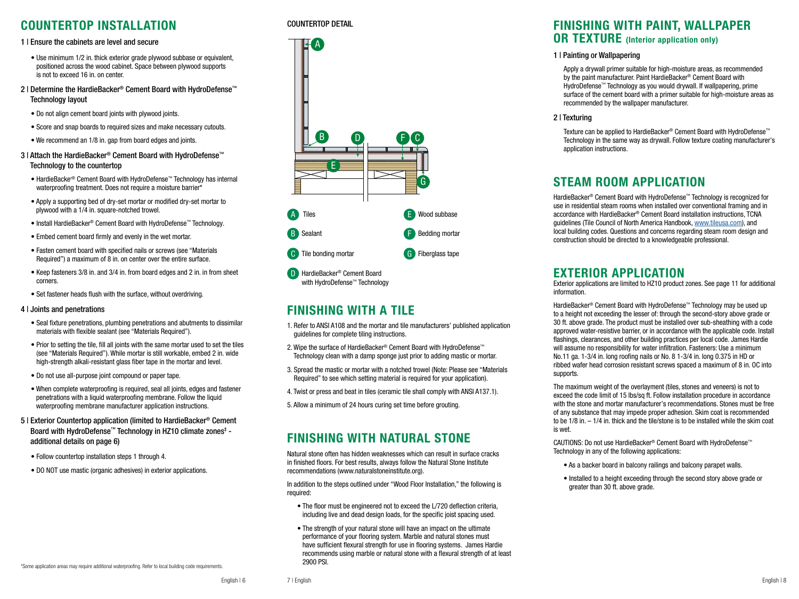### COUNTERTOP INSTALLATION

### 1 | Ensure the cabinets are level and secure

- Use minimum 1/2 in, thick exterior grade plywood subbase or equivalent, positioned across the wood cabinet. Space between plywood supports is not to exceed 16 in. on center.
- 2 | Determine the HardieBacker® Cement Board with HydroDefense™ Technology layout
	- Do not align cement board joints with plywood joints.
	- Score and snap boards to required sizes and make necessary cutouts.
	- We recommend an 1/8 in. gap from board edges and joints.
- 3 | Attach the HardieBacker® Cement Board with HydroDefense™ Technology to the countertop
	- HardieBacker® Cement Board with HydroDefense™ Technology has internal waterproofing treatment. Does not require a moisture barrier\*
	- Apply a supporting bed of dry-set mortar or modified dry-set mortar to plywood with a 1/4 in. square-notched trowel.
	- Install HardieBacker® Cement Board with HydroDefense™ Technology.
	- Embed cement board firmly and evenly in the wet mortar.
	- Fasten cement board with specified nails or screws (see "Materials Required") a maximum of 8 in. on center over the entire surface.
	- Keep fasteners 3/8 in. and 3/4 in. from board edges and 2 in. in from sheet corners.
	- Set fastener heads flush with the surface, without overdriving.

### 4 | Joints and penetrations

- Seal fixture penetrations, plumbing penetrations and abutments to dissimilar materials with flexible sealant (see "Materials Required").
- Prior to setting the tile, fill all joints with the same mortar used to set the tiles (see "Materials Required"). While mortar is still workable, embed 2 in. wide high-strength alkali-resistant glass fiber tape in the mortar and level.
- Do not use all-purpose joint compound or paper tape.
- When complete waterproofing is required, seal all joints, edges and fastener penetrations with a liquid waterproofing membrane. Follow the liquid waterproofing membrane manufacturer application instructions.
- 5 | Exterior Countertop application (limited to HardieBacker® Cement Board with HydroDefense™ Technology in HZ10 climate zones‡ additional details on page 6)
	- Follow countertop installation steps 1 through 4.
	- DO NOT use mastic (organic adhesives) in exterior applications.

#### \*Some application areas may require additional waterproofing. Refer to local building code requirements.

### COUNTERTOP DETAIL



### FINISHING WITH A TILE

- 1. Refer to ANSI A108 and the mortar and tile manufacturers' published application guidelines for complete tiling instructions.
- 2. Wipe the surface of HardieBacker® Cement Board with HydroDefense™ Technology clean with a damp sponge just prior to adding mastic or mortar.
- 3. Spread the mastic or mortar with a notched trowel (Note: Please see "Materials Required" to see which setting material is required for your application).
- 4. Twist or press and beat in tiles (ceramic tile shall comply with ANSI A137.1).
- 5. Allow a minimum of 24 hours curing set time before grouting.

## FINISHING WITH NATURAL STONE

Natural stone often has hidden weaknesses which can result in surface cracks in finished floors. For best results, always follow the Natural Stone Institute recommendations (www.naturalstoneinstitute.org).

In addition to the steps outlined under "Wood Floor Installation," the following is required:

- The floor must be engineered not to exceed the L/720 deflection criteria, including live and dead design loads, for the specific joist spacing used.
- The strength of your natural stone will have an impact on the ultimate performance of your flooring system. Marble and natural stones must have sufficient flexural strength for use in flooring systems. James Hardie recommends using marble or natural stone with a flexural strength of at least 2900 PSI.

# FINISHING WITH PAINT, WALLPAPER<br>OR TEXTURE (Interior application only)

### 1 | Painting or Wallpapering

 Apply a drywall primer suitable for high-moisture areas, as recommended by the paint manufacturer. Paint HardieBacker® Cement Board with HydroDefense™ Technology as you would drywall. If wallpapering, prime surface of the cement board with a primer suitable for high-moisture areas as recommended by the wallpaper manufacturer.

### 2 | Texturing

 Texture can be applied to HardieBacker® Cement Board with HydroDefense™ Technology in the same way as drywall. Follow texture coating manufacturer's application instructions.

### STEAM ROOM APPLICATION

HardieBacker® Cement Board with HydroDefense™ Technology is recognized for use in residential steam rooms when installed over conventional framing and in accordance with HardieBacker® Cement Board installation instructions, TCNA guidelines (Tile Council of North America Handbook, www.tileusa.com), and local building codes. Questions and concerns regarding steam room design and construction should be directed to a knowledgeable professional.

EXTERIOR APPLICATION Exterior applications are limited to HZ10 product zones. See page 11 for additional information.

HardieBacker<sup>®</sup> Cement Board with HydroDefense™ Technology may be used up to a height not exceeding the lesser of: through the second-story above grade or 30 ft. above grade. The product must be installed over sub-sheathing with a code approved water-resistive barrier, or in accordance with the applicable code. Install flashings, clearances, and other building practices per local code. James Hardie will assume no responsibility for water infiltration. Fasteners: Use a minimum No.11 ga. 1-3/4 in. long roofing nails or No. 8 1-3/4 in. long 0.375 in HD or ribbed wafer head corrosion resistant screws spaced a maximum of 8 in. OC into supports.

The maximum weight of the overlayment (tiles, stones and veneers) is not to exceed the code limit of 15 lbs/sq ft. Follow installation procedure in accordance with the stone and mortar manufacturer's recommendations. Stones must be free of any substance that may impede proper adhesion. Skim coat is recommended to be 1/8 in. – 1/4 in. thick and the tile/stone is to be installed while the skim coat is wet.

CAUTIONS: Do not use HardieBacker® Cement Board with HydroDefense™ Technology in any of the following applications:

- As a backer board in balcony railings and balcony parapet walls.
- Installed to a height exceeding through the second story above grade or greater than 30 ft. above grade.

7 | English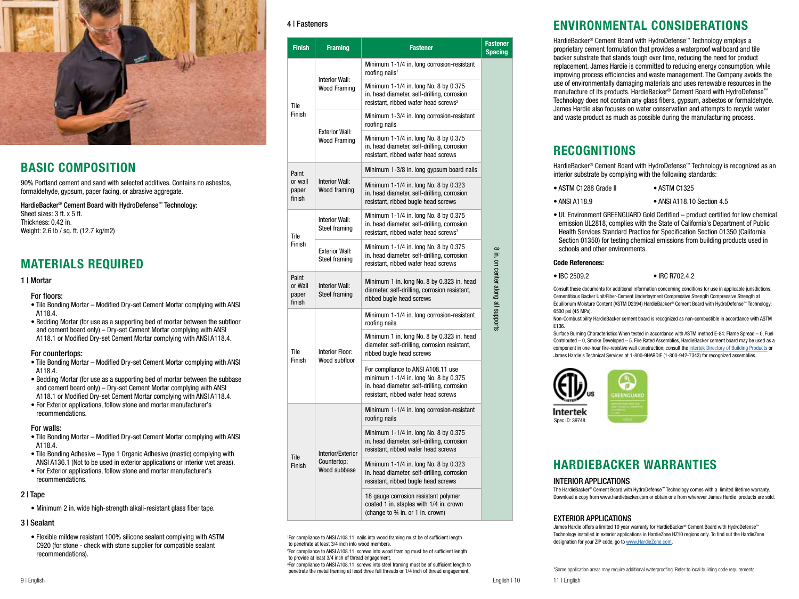

### BASIC COMPOSITION

90% Portland cement and sand with selected additives. Contains no asbestos, formaldehyde, gypsum, paper facing, or abrasive aggregate.

HardieBacker® Cement Board with HydroDefense™ Technology: Sheet sizes: 3 ft. x 5 ft. Thickness: 0.42 in. Weight: 2.6 lb / sq. ft. (12.7 kg/m2)

## MATERIALS REQUIRED

### 1 | Mortar

### For floors:

- Tile Bonding Mortar Modified Dry-set Cement Mortar complying with ANSI A118.4.
- Bedding Mortar (for use as a supporting bed of mortar between the subfloor and cement board only) – Dry-set Cement Mortar complying with ANSI A118.1 or Modified Dry-set Cement Mortar complying with ANSI A118.4.

### For countertops:

- Tile Bonding Mortar Modified Dry-set Cement Mortar complying with ANSI A118.4.
- Bedding Mortar (for use as a supporting bed of mortar between the subbase and cement board only) – Dry-set Cement Mortar complying with ANSI A118.1 or Modified Dry-set Cement Mortar complying with ANSI A118.4.
- For Exterior applications, follow stone and mortar manufacturer's recommendations.

### For walls:

- Tile Bonding Mortar Modified Dry-set Cement Mortar complying with ANSI A118.4.
- Tile Bonding Adhesive Type 1 Organic Adhesive (mastic) complying with ANSI A136.1 (Not to be used in exterior applications or interior wet areas).
- For Exterior applications, follow stone and mortar manufacturer's recommendations.

### 2 | Tape

• Minimum 2 in. wide high-strength alkali-resistant glass fiber tape.

### 3 | Sealant

• Flexible mildew resistant 100% silicone sealant complying with ASTM C920 (for stone - check with stone supplier for compatible sealant recommendations).

### 4 | Fasteners

| <b>Finish</b>                       | <b>Framing</b>                                   | <b>Fastener</b>                                                                                                                                                   | <b>Fastener</b><br><b>Spacing</b>  |
|-------------------------------------|--------------------------------------------------|-------------------------------------------------------------------------------------------------------------------------------------------------------------------|------------------------------------|
| Tile<br>Finish                      | <b>Interior Wall:</b><br><b>Wood Framing</b>     | Minimum 1-1/4 in. long corrosion-resistant<br>roofing nails <sup>1</sup>                                                                                          |                                    |
|                                     |                                                  | Minimum 1-1/4 in. long No. 8 by 0.375<br>in. head diameter, self-drilling, corrosion<br>resistant, ribbed wafer head screws <sup>2</sup>                          |                                    |
|                                     | <b>Exterior Wall:</b><br><b>Wood Framing</b>     | Minimum 1-3/4 in. long corrosion-resistant<br>roofing nails                                                                                                       |                                    |
|                                     |                                                  | Minimum 1-1/4 in. long No. 8 by 0.375<br>in. head diameter, self-drilling, corrosion<br>resistant, ribbed wafer head screws                                       |                                    |
| Paint<br>or wall<br>paper<br>finish | <b>Interior Wall:</b><br>Wood framing            | Minimum 1-3/8 in. long gypsum board nails                                                                                                                         |                                    |
|                                     |                                                  | Minimum 1-1/4 in. long No. 8 by 0.323<br>in. head diameter, self-drilling, corrosion<br>resistant, ribbed bugle head screws                                       |                                    |
| Tile<br>Finish                      | Interior Wall:<br>Steel framing                  | Minimum 1-1/4 in. long No. 8 by 0.375<br>in. head diameter, self-drilling, corrosion<br>resistant, ribbed wafer head screws <sup>3</sup>                          |                                    |
|                                     | <b>Exterior Wall:</b><br>Steel framing           | Minimum 1-1/4 in. long No. 8 by 0.375<br>in. head diameter, self-drilling, corrosion<br>resistant, ribbed wafer head screws                                       |                                    |
| Paint<br>or Wall<br>paper<br>finish | Interior Wall:<br>Steel framing                  | Minimum 1 in. long No. 8 by 0.323 in. head<br>diameter, self-drilling, corrosion resistant,<br>ribbed bugle head screws                                           | 8 in. on center along all supports |
| Tile<br>Finish                      | Interior Floor:<br>Wood subfloor                 | Minimum 1-1/4 in. long corrosion-resistant<br>roofing nails                                                                                                       |                                    |
|                                     |                                                  | Minimum 1 in. long No. 8 by 0.323 in. head<br>diameter, self-drilling, corrosion resistant,<br>ribbed bugle head screws                                           |                                    |
|                                     |                                                  | For compliance to ANSI A108.11 use<br>minimum 1-1/4 in. long No. 8 by 0.375<br>in. head diameter, self-drilling, corrosion<br>resistant, ribbed wafer head screws |                                    |
| Tile<br>Finish                      | Interior/Exterior<br>Countertop:<br>Wood subbase | Minimum 1-1/4 in. long corrosion-resistant<br>roofing nails                                                                                                       |                                    |
|                                     |                                                  | Minimum 1-1/4 in. long No. 8 by 0.375<br>in. head diameter, self-drilling, corrosion<br>resistant, ribbed wafer head screws                                       |                                    |
|                                     |                                                  | Minimum 1-1/4 in. long No. 8 by 0.323<br>in. head diameter, self-drilling, corrosion<br>resistant, ribbed bugle head screws                                       |                                    |
|                                     |                                                  | 18 gauge corrosion resistant polymer<br>coated 1 in. staples with 1/4 in. crown<br>(change to 3/4 in. or 1 in. crown)                                             |                                    |

1 For compliance to ANSI A108.11, nails into wood framing must be of sufficient length to penetrate at least 3/4 inch into wood members.

2 For compliance to ANSI A108.11, screws into wood framing must be of sufficient length to provide at least 3/4 inch of thread engagement.

3 For compliance to ANSI A108.11, screws into steel framing must be of sufficient length to penetrate the metal framing at least three full threads or 1/4 inch of thread engagement.

# ENVIRONMENTAL CONSIDERATIONS

HardieBacker® Cement Board with HydroDefense™ Technology employs a proprietary cement formulation that provides a waterproof wallboard and tile backer substrate that stands tough over time, reducing the need for product replacement. James Hardie is committed to reducing energy consumption, while improving process efficiencies and waste management. The Company avoids the use of environmentally damaging materials and uses renewable resources in the manufacture of its products. HardieBacker® Cement Board with HydroDefense™ Technology does not contain any glass fibers, gypsum, asbestos or formaldehyde. James Hardie also focuses on water conservation and attempts to recycle water and waste product as much as possible during the manufacturing process.

# **RECOGNITIONS**

HardieBacker® Cement Board with HydroDefense™ Technology is recognized as an interior substrate by complying with the following standards:

- ASTM C1288 Grade II ASTM C1325
- ANSI A118.9 ANSI A118.10 Section 4.5
- UL Environment GREENGUARD Gold Certified product certified for low chemical emission UL2818, complies with the State of California's Department of Public Health Services Standard Practice for Specification Section 01350 (California Section 01350) for testing chemical emissions from building products used in schools and other environments.

### Code References:

• IBC 2509.2 • IBC R702.4.2

Consult these documents for additional information concerning conditions for use in applicable jurisdictions. Cementitious Backer Unit/Fiber-Cement Underlayment Compressive Strength Compressive Strength at Equilibrium Moisture Content (ASTM D2394) HardieBacker® Cement Board with HydroDefense™ Technology: 6500 psi (45 MPa).

Non-Combustibility HardieBacker cement board is recognized as non-combustible in accordance with ASTM E136.

Surface Burning Characteristics When tested in accordance with ASTM method E-84: Flame Spread – 0, Fuel Contributed – 0, Smoke Developed – 5. Fire Rated Assemblies, HardieBacker cement board may be used as a component in one-hour fire-resistive wall construction; consult the Intertek Directory of Building Products or James Hardie's Technical Services at 1-800-9HARDIE (1-800-942-7343) for recognized assemblies.



# HARDIEBACKER WARRANTIES

### INTERIOR APPLICATIONS

The HardieBacker® Cement Board with HydroDefense™ Technology comes with a limited lifetime warranty. Download a copy from www.hardiebacker.com or obtain one from wherever James Hardie products are sold.

### EXTERIOR APPLICATIONS

James Hardie offers a limited 10 year warranty for HardieBacker® Cement Board with HydroDefense™ Technology installed in exterior applications in HardieZone HZ10 regions only. To find out the HardieZone designation for your ZIP code, go to www.HardieZone.com.

\*Some application areas may require additional waterproofing. Refer to local building code requirements.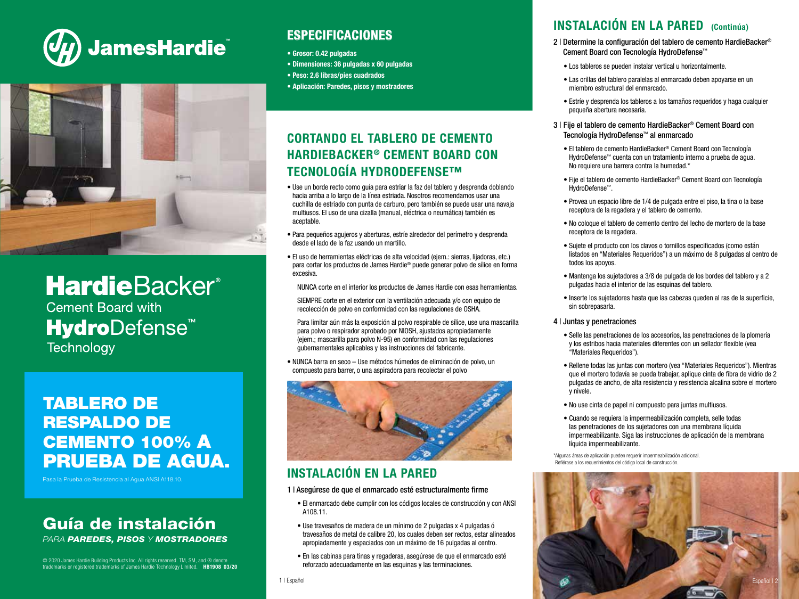



# **HardieBacker®**

**Cement Board with HydroDefense<sup>™</sup> Technology** 

# TABLERO DE RESPALDO DE CEMENTO 100% A PRUEBA DE AGUA.

Pasa la Prueba de Resistencia al Agua ANSI A118.10.

# Guía de instalación

PARA PAREDES, PISOS Y MOSTRADORES

© 2020 James Hardie Building Products Inc. All rights reserved. TM, SM, and ® denote<br>trademarks or registered trademarks of James Hardie Technology Limited. **HB1908 03/20** 

# ESPECIFICACIONES

- Grosor: 0.42 pulgadas
- Dimensiones: 36 pulgadas x 60 pulgadas
- Peso: 2.6 libras/pies cuadrados
- Aplicación: Paredes, pisos y mostradores

# CORTANDO EL TABLERO DE CEMENTO HARDIEBACKER® CEMENT BOARD CON TECNOLOGÍA HYDRODEFENSE™

- Use un borde recto como guía para estriar la faz del tablero y desprenda doblando hacia arriba a lo largo de la línea estriada. Nosotros recomendamos usar una cuchilla de estriado con punta de carburo, pero también se puede usar una navaja multiusos. El uso de una cizalla (manual, eléctrica o neumática) también es aceptable.
- Para pequeños agujeros y aberturas, estríe alrededor del perímetro y desprenda desde el lado de la faz usando un martillo.
- El uso de herramientas eléctricas de alta velocidad (ejem.: sierras, lijadoras, etc.) para cortar los productos de James Hardie® puede generar polvo de sílice en forma excesiva.

NUNCA corte en el interior los productos de James Hardie con esas herramientas.

 SIEMPRE corte en el exterior con la ventilación adecuada y/o con equipo de recolección de polvo en conformidad con las regulaciones de OSHA.

 Para limitar aún más la exposición al polvo respirable de sílice, use una mascarilla para polvo o respirador aprobado por NIOSH, ajustados apropiadamente (ejem.; mascarilla para polvo N-95) en conformidad con las regulaciones gubernamentales aplicables y las instrucciones del fabricante.

• NUNCA barra en seco – Use métodos húmedos de eliminación de polvo, un compuesto para barrer, o una aspiradora para recolectar el polvo



# INSTALACIÓN EN LA PARED

### 1 | Asegúrese de que el enmarcado esté estructuralmente firme

- El enmarcado debe cumplir con los códigos locales de construcción y con ANSI A108.11.
- Use travesaños de madera de un mínimo de 2 pulgadas x 4 pulgadas ó travesaños de metal de calibre 20, los cuales deben ser rectos, estar alineados apropiadamente y espaciados con un máximo de 16 pulgadas al centro.
- En las cabinas para tinas y regaderas, asegúrese de que el enmarcado esté reforzado adecuadamente en las esquinas y las terminaciones.

#### 1 | Español

## INSTALACIÓN EN LA PARED (Continúa)

- 2 | Determine la configuración del tablero de cemento HardieBacker® Cement Board con Tecnología HydroDefense™
	- Los tableros se pueden instalar vertical u horizontalmente.
	- Las orillas del tablero paralelas al enmarcado deben apoyarse en un miembro estructural del enmarcado.
	- Estríe y desprenda los tableros a los tamaños requeridos y haga cualquier pequeña abertura necesaria.
- 3 | Fije el tablero de cemento HardieBacker® Cement Board con Tecnología HydroDefense™ al enmarcado
	- El tablero de cemento HardieBacker® Cement Board con Tecnología HydroDefense™ cuenta con un tratamiento interno a prueba de agua. No requiere una barrera contra la humedad.\*
	- Fije el tablero de cemento HardieBacker® Cement Board con Tecnología HydroDefense™.
	- Provea un espacio libre de 1/4 de pulgada entre el piso, la tina o la base receptora de la regadera y el tablero de cemento.
	- No coloque el tablero de cemento dentro del lecho de mortero de la base receptora de la regadera.
	- Sujete el producto con los clavos o tornillos especificados (como están listados en "Materiales Requeridos") a un máximo de 8 pulgadas al centro de todos los apoyos.
	- Mantenga los sujetadores a 3/8 de pulgada de los bordes del tablero y a 2 pulgadas hacia el interior de las esquinas del tablero.
	- Inserte los sujetadores hasta que las cabezas queden al ras de la superficie, sin sobrepasarla.

### 4 | Juntas y penetraciones

- Selle las penetraciones de los accesorios, las penetraciones de la plomería y los estribos hacia materiales diferentes con un sellador flexible (vea "Materiales Requeridos").
- Rellene todas las juntas con mortero (vea "Materiales Requeridos"). Mientras que el mortero todavía se pueda trabajar, aplique cinta de fibra de vidrio de 2 pulgadas de ancho, de alta resistencia y resistencia alcalina sobre el mortero y nivele.
- No use cinta de papel ni compuesto para juntas multiusos.
- Cuando se requiera la impermeabilización completa, selle todas las penetraciones de los sujetadores con una membrana líquida impermeabilizante. Siga las instrucciones de aplicación de la membrana líquida impermeabilizante.
- \*Algunas áreas de aplicación pueden requerir impermeabilización adicional. Refiérase a los requerimientos del código local de construcción.

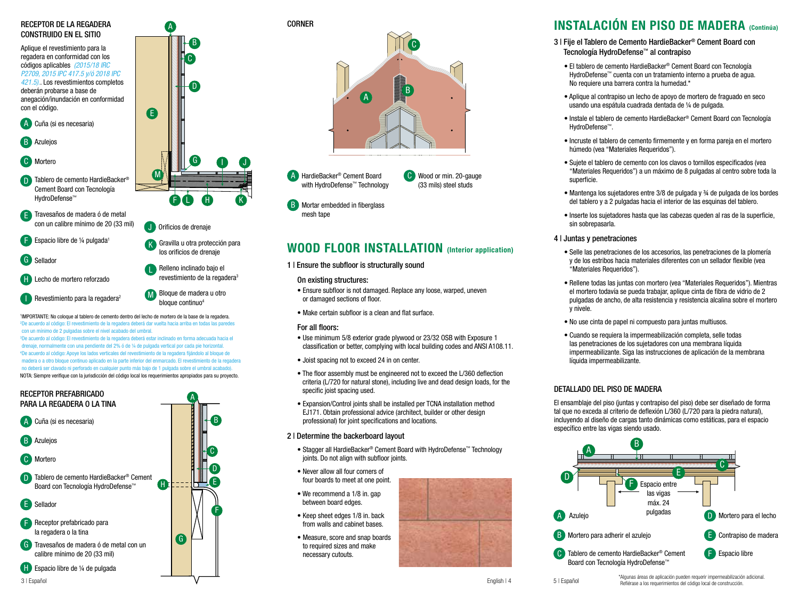### RECEPTOR DE LA REGADERA CONSTRUIDO EN EL SITIO

M E A Cuña (si es necesaria) B C D Tablero de cemento HardieBacker® **Azuleios** Mortero Aplique el revestimiento para la regadera en conformidad con los códigos aplicables (2015/18 IRC P2709, 2015 IPC 417.5 y/ó 2018 IPC 421.5).. Los revestimientos completos deberán probarse a base de anegación/inundación en conformidad con el código.

Cement Board con Tecnología HydroDefense™

E Travesaños de madera ó de metal con un calibre mínimo de 20 (33 mil)

Espacio libre de ¼ pulgada<sup>1</sup> F

G Sellador

- HardieBacker® Cement Board with H Lecho de mortero reforzado
- **I** Revestimiento para la regadera<sup>2</sup> **II** Blog

'IMPORTANTE: No coloque al tablero de cemento dentro del lecho de mortero de la base de la regadera. <sup>2</sup>De acuerdo al código: El revestimiento de la regadera deberá dar vuelta hacia arriba en todas las paredes

G Sealant drenaje, normalmente con una pendiente del 2% ó de ¼ de pulgada vertical por cada pie horizontal. NOTA: Siempre verifique con la jurisdicción del código local los requerimientos apropiados para su proyecto. 4 De acuerdo al código: Apoye los lados verticales del revestimiento de la regadera fijándolo al bloque de madera o a otro bloque continuo aplicado en la parte inferior del enmarcado. El revestimiento de la regadera no deberá ser clavado ni perforado en cualquier punto más bajo de 1 pulgada sobre el umbral acabado).



B C D

I J

K

e liner

hydrodefensem Technology Technology Technology Technology Technology Technology Technology Technology Technology

A

F

J Orificios de drenaje

G

L H

I los orificios de drenaje Relleno inclinado bajo el

revestimiento de la regadera<sup>3</sup>

Gravilla u otra protección para



**B** Mortar embedded in fiberglass mesh tape

# WOOD FLOOR INSTALLATION (Interior application)

### 1 | Ensure the subfloor is structurally sound

### On existing structures:

- HardieBacker® Cement Board with • Ensure subfloor is not damaged. Replace any loose, warped, uneven or damaged sections of floor.
	- Make certain subfloor is a clean and flat surface.

### For all floors:

A

- Use minimum 5/8 exterior grade plywood or 23/32 OSB with Exposure 1 classification or better, complying with local building codes and ANSI A108.11.
- Joist spacing not to exceed 24 in on center.
- The floor assembly must be engineered not to exceed the L/360 deflection criteria (L/720 for natural stone), including live and dead design loads, for the specific joist spacing used.
- Expansion/Control joints shall be installed per TCNA installation method EJ171. Obtain professional advice (architect, builder or other design professional) for joint specifications and locations.

### 2 | Determine the backerboard layout

- Stagger all HardieBacker® Cement Board with HydroDefense™ Technology joints. Do not align with subfloor joints.
- Never allow all four corners of four boards to meet at one point.
- We recommend a 1/8 in. gap between board edges.
- Keep sheet edges 1/8 in. back from walls and cabinet bases.
- Measure, score and snap boards to required sizes and make necessary cutouts.

# INSTALACIÓN EN PISO DE MADERA (Continúa)

- 3 | Fije el Tablero de Cemento HardieBacker® Cement Board con Tecnología HydroDefense™ al contrapiso
	- El tablero de cemento HardieBacker® Cement Board con Tecnología HydroDefense™ cuenta con un tratamiento interno a prueba de agua. No requiere una barrera contra la humedad.\*
	- Aplique al contrapiso un lecho de apoyo de mortero de fraguado en seco usando una espátula cuadrada dentada de ¼ de pulgada.
	- Instale el tablero de cemento HardieBacker® Cement Board con Tecnología HydroDefense™.
	- Incruste el tablero de cemento firmemente y en forma pareja en el mortero húmedo (vea "Materiales Requeridos").
	- Sujete el tablero de cemento con los clavos o tornillos especificados (vea "Materiales Requeridos") a un máximo de 8 pulgadas al centro sobre toda la superficie.
	- Mantenga los sujetadores entre 3/8 de pulgada y ¾ de pulgada de los bordes del tablero y a 2 pulgadas hacia el interior de las esquinas del tablero.
	- Inserte los sujetadores hasta que las cabezas queden al ras de la superficie, sin sobrepasarla.
- 4 | Juntas y penetraciones
	- Selle las penetraciones de los accesorios, las penetraciones de la plomería y de los estribos hacia materiales diferentes con un sellador flexible (vea "Materiales Requeridos").
	- Rellene todas las juntas con mortero (vea "Materiales Requeridos"). Mientras el mortero todavía se pueda trabajar, aplique cinta de fibra de vidrio de 2 pulgadas de ancho, de alta resistencia y resistencia alcalina sobre el mortero y nivele.
	- No use cinta de papel ni compuesto para juntas multiusos.
	- Cuando se requiera la impermeabilización completa, selle todas las penetraciones de los sujetadores con una membrana líquida impermeabilizante. Siga las instrucciones de aplicación de la membrana líquida impermeabilizante.

### DETALLADO DEL PISO DE MADERA

El ensamblaje del piso (juntas y contrapiso del piso) debe ser diseñado de forma tal que no exceda al criterio de deflexión L/360 (L/720 para la piedra natural), incluyendo al diseño de cargas tanto dinámicas como estáticas, para el espacio específico entre las vigas siendo usado.



5 | Español

wood or Minimum 20 gauge of Minimum 20 gauge of Minimum 20 gauge of Minimum 20 gauge of Minimum 20 gauge of Minimum 20 gauge of Minimum 20 gauge of Minimum 20 gauge of Minimum 20 gauge of Minimum 20 gauge of Minimum 20 gau M Bloque de madera u otro bloque continuo<sup>4</sup>

K

L

pe acueruo ai couigo. En revestimiento de la regadera debera dar vui<br>con un mínimo de 2 pulgadas sobre el nivel acabado del umbral. con un mínimo de 2 pulgadas sobre el nivel acabado del umbral.<br><sup>s</sup>De acuerdo al código: El revestimiento de la regadera deberá estar inclinado en forma adecuada hacia el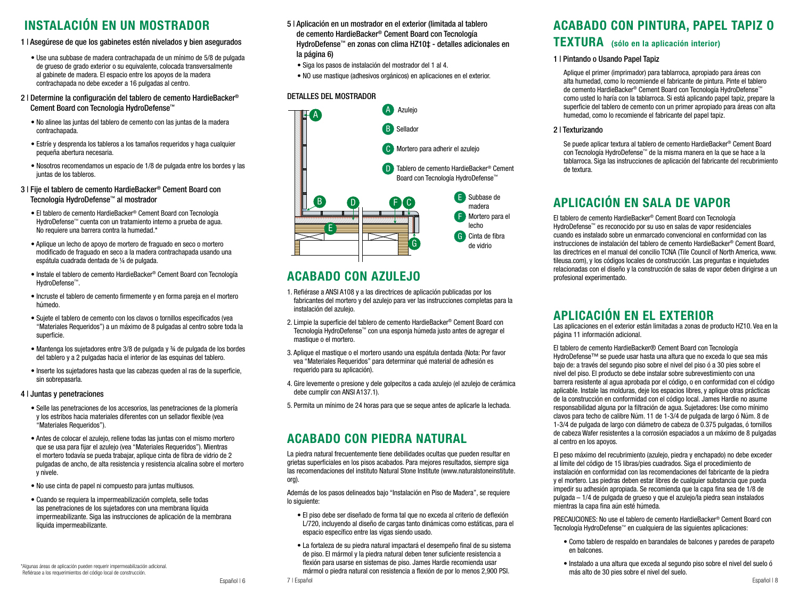# INSTALACIÓN EN UN MOSTRADOR

- 1 | Asegúrese de que los gabinetes estén nivelados y bien asegurados
	- Use una subbase de madera contrachapada de un mínimo de 5/8 de pulgada de grueso de grado exterior o su equivalente, colocada transversalmente al gabinete de madera. El espacio entre los apoyos de la madera contrachapada no debe exceder a 16 pulgadas al centro.
- 2 | Determine la configuración del tablero de cemento HardieBacker® Cement Board con Tecnología HydroDefense™
	- No alinee las juntas del tablero de cemento con las juntas de la madera contrachapada.
	- Estríe y desprenda los tableros a los tamaños requeridos y haga cualquier pequeña abertura necesaria.
	- Nosotros recomendamos un espacio de 1/8 de pulgada entre los bordes y las juntas de los tableros.

### 3 | Fije el tablero de cemento HardieBacker® Cement Board con Tecnología HydroDefense™ al mostrador

- El tablero de cemento HardieBacker® Cement Board con Tecnología HydroDefense™ cuenta con un tratamiento interno a prueba de agua. No requiere una barrera contra la humedad.\*
- Aplique un lecho de apoyo de mortero de fraguado en seco o mortero modificado de fraguado en seco a la madera contrachapada usando una espátula cuadrada dentada de ¼ de pulgada.
- Instale el tablero de cemento HardieBacker® Cement Board con Tecnología HydroDefense™.
- Incruste el tablero de cemento firmemente y en forma pareja en el mortero húmedo.
- Sujete el tablero de cemento con los clavos o tornillos especificados (vea "Materiales Requeridos") a un máximo de 8 pulgadas al centro sobre toda la superficie.
- Mantenga los sujetadores entre 3/8 de pulgada y ¾ de pulgada de los bordes del tablero y a 2 pulgadas hacia el interior de las esquinas del tablero.
- Inserte los sujetadores hasta que las cabezas queden al ras de la superficie, sin sobrepasarla.

### 4 | Juntas y penetraciones

- Selle las penetraciones de los accesorios, las penetraciones de la plomería y los estribos hacia materiales diferentes con un sellador flexible (vea "Materiales Requeridos").
- Antes de colocar el azulejo, rellene todas las juntas con el mismo mortero que se usa para fijar el azulejo (vea "Materiales Requeridos"). Mientras el mortero todavía se pueda trabajar, aplique cinta de fibra de vidrio de 2 pulgadas de ancho, de alta resistencia y resistencia alcalina sobre el mortero y nivele.
- No use cinta de papel ni compuesto para juntas multiusos.
- Cuando se requiera la impermeabilización completa, selle todas las penetraciones de los sujetadores con una membrana líquida impermeabilizante. Siga las instrucciones de aplicación de la membrana líquida impermeabilizante.

\*Algunas áreas de aplicación pueden requerir impermeabilización adicional. Refiérase a los requerimientos del código local de construcción.

- 5 | Aplicación en un mostrador en el exterior (limitada al tablero de cemento HardieBacker® Cement Board con Tecnología HydroDefense™ en zonas con clima HZ10‡ - detalles adicionales en la página 6)
	- Siga los pasos de instalación del mostrador del 1 al 4.
	- NO use mastique (adhesivos orgánicos) en aplicaciones en el exterior.

### DETALLES DEL MOSTRADOR



# ACABADO CON AZULEJO

- 1. Refiérase a ANSI A108 y a las directrices de aplicación publicadas por los fabricantes del mortero y del azulejo para ver las instrucciones completas para la instalación del azulejo.
- 2. Limpie la superficie del tablero de cemento HardieBacker® Cement Board con Tecnología HydroDefense™ con una esponja húmeda justo antes de agregar el mastique o el mortero.
- 3. Aplique el mastique o el mortero usando una espátula dentada (Nota: Por favor vea "Materiales Requeridos" para determinar qué material de adhesión es requerido para su aplicación).
- 4. Gire levemente o presione y dele golpecitos a cada azulejo (el azulejo de cerámica debe cumplir con ANSI A137.1).
- 5. Permita un mínimo de 24 horas para que se seque antes de aplicarle la lechada.

# ACABADO CON PIEDRA NATURAL

La piedra natural frecuentemente tiene debilidades ocultas que pueden resultar en grietas superficiales en los pisos acabados. Para mejores resultados, siempre siga las recomendaciones del instituto Natural Stone Institute (www.naturalstoneinstitute. org).

Además de los pasos delineados bajo "Instalación en Piso de Madera", se requiere lo siguiente:

- El piso debe ser diseñado de forma tal que no exceda al criterio de deflexión L/720, incluyendo al diseño de cargas tanto dinámicas como estáticas, para el espacio específico entre las vigas siendo usado.
- La fortaleza de su piedra natural impactará el desempeño final de su sistema de piso. El mármol y la piedra natural deben tener suficiente resistencia a flexión para usarse en sistemas de piso. James Hardie recomienda usar mármol o piedra natural con resistencia a flexión de por lo menos 2,900 PSI.

## ACABADO CON PINTURA, PAPEL TAPIZ O

# TEXTURA (sólo en la aplicación interior)

### 1 | Pintando o Usando Papel Tapiz

 Aplique el primer (imprimador) para tablarroca, apropiado para áreas con alta humedad, como lo recomiende el fabricante de pintura. Pinte el tablero de cemento HardieBacker® Cement Board con Tecnología HydroDefense™ como usted lo haría con la tablarroca. Si está aplicando papel tapiz, prepare la superficie del tablero de cemento con un primer apropiado para áreas con alta humedad, como lo recomiende el fabricante del papel tapiz.

### 2 | Texturizando

 Se puede aplicar textura al tablero de cemento HardieBacker® Cement Board con Tecnología HydroDefense™ de la misma manera en la que se hace a la tablarroca. Siga las instrucciones de aplicación del fabricante del recubrimiento de textura.

# APLICACIÓN EN SALA DE VAPOR

El tablero de cemento HardieBacker® Cement Board con Tecnología HydroDefense™ es reconocido por su uso en salas de vapor residenciales cuando es instalado sobre un enmarcado convencional en conformidad con las instrucciones de instalación del tablero de cemento HardieBacker® Cement Board, las directrices en el manual del concilio TCNA (Tile Council of North America, www. tileusa.com), y los códigos locales de construcción. Las preguntas e inquietudes relacionadas con el diseño y la construcción de salas de vapor deben dirigirse a un profesional experimentado.

# APLICACIÓN EN EL EXTERIOR Las aplicaciones en el exterior están limitadas a zonas de producto HZ10. Vea en la

página 11 información adicional.

El tablero de cemento HardieBacker® Cement Board con Tecnología HydroDefense™ se puede usar hasta una altura que no exceda lo que sea más bajo de: a través del segundo piso sobre el nivel del piso ó a 30 pies sobre el nivel del piso. El producto se debe instalar sobre subrevestimiento con una barrera resistente al agua aprobada por el código, o en conformidad con el código aplicable. Instale las molduras, deje los espacios libres, y aplique otras prácticas de la construcción en conformidad con el código local. James Hardie no asume responsabilidad alguna por la filtración de agua. Sujetadores: Use como mínimo clavos para techo de calibre Núm. 11 de 1-3/4 de pulgada de largo ó Núm. 8 de 1-3/4 de pulgada de largo con diámetro de cabeza de 0.375 pulgadas, ó tornillos de cabeza Wafer resistentes a la corrosión espaciados a un máximo de 8 pulgadas al centro en los apoyos.

El peso máximo del recubrimiento (azulejo, piedra y enchapado) no debe exceder al límite del código de 15 libras/pies cuadrados. Siga el procedimiento de instalación en conformidad con las recomendaciones del fabricante de la piedra y el mortero. Las piedras deben estar libres de cualquier substancia que pueda impedir su adhesión apropiada. Se recomienda que la capa fina sea de 1/8 de pulgada – 1/4 de pulgada de grueso y que el azulejo/la piedra sean instalados mientras la capa fina aún esté húmeda.

PRECAUCIONES: No use el tablero de cemento HardieBacker® Cement Board con Tecnología HydroDefense™ en cualquiera de las siguientes aplicaciones:

- Como tablero de respaldo en barandales de balcones y paredes de parapeto en balcones.
- Instalado a una altura que exceda al segundo piso sobre el nivel del suelo ó más alto de 30 pies sobre el nivel del suelo.